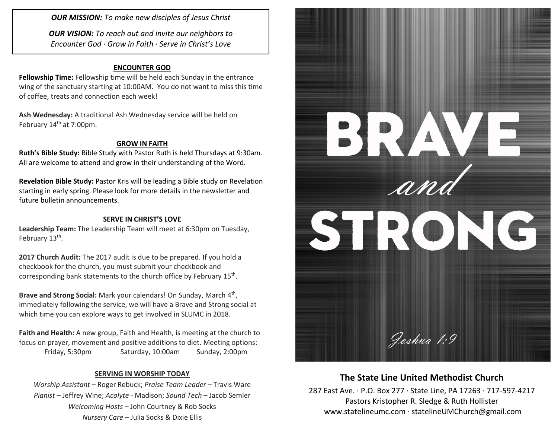*OUR MISSION: To make new disciples of Jesus Christ*

*OUR VISION: To reach out and invite our neighbors to Encounter God · Grow in Faith · Serve in Christ's Love*

#### **ENCOUNTER GOD**

**Fellowship Time:** Fellowship time will be held each Sunday in the entrance wing of the sanctuary starting at 10:00AM. You do not want to miss this time of coffee, treats and connection each week!

**Ash Wednesday:** A traditional Ash Wednesday service will be held on February 14<sup>th</sup> at 7:00pm.

#### **GROW IN FAITH**

**Ruth's Bible Study:** Bible Study with Pastor Ruth is held Thursdays at 9:30am. All are welcome to attend and grow in their understanding of the Word.

**Revelation Bible Study:** Pastor Kris will be leading a Bible study on Revelation starting in early spring. Please look for more details in the newsletter and future bulletin announcements.

#### **SERVE IN CHRIST'S LOVE**

**Leadership Team:** The Leadership Team will meet at 6:30pm on Tuesday, February 13<sup>th</sup>.

**2017 Church Audit:** The 2017 audit is due to be prepared. If you hold a checkbook for the church, you must submit your checkbook and corresponding bank statements to the church office by February 15<sup>th</sup>.

Brave and Strong Social: Mark your calendars! On Sunday, March 4<sup>th</sup>, immediately following the service, we will have a Brave and Strong social at which time you can explore ways to get involved in SLUMC in 2018.

**Faith and Health:** A new group, Faith and Health, is meeting at the church to focus on prayer, movement and positive additions to diet. Meeting options: Friday, 5:30pm Saturday, 10:00am Sunday, 2:00pm

#### **SERVING IN WORSHIP TODAY**

*Worship Assistant* – Roger Rebuck; *Praise Team Leader* – Travis Ware *Pianist* – Jeffrey Wine; *Acolyte* - Madison; *Sound Tech* – Jacob Semler *Welcoming Hosts* – John Courtney & Rob Socks *Nursery Care* – Julia Socks & Dixie Ellis



## **The State Line United Methodist Church**

287 East Ave. · P.O. Box 277 · State Line, PA 17263 · 717-597-4217 Pastors Kristopher R. Sledge & Ruth Hollister [www.statelineumc.com](http://www.statelineumc.com/) · statelineUMChurch@gmail.com